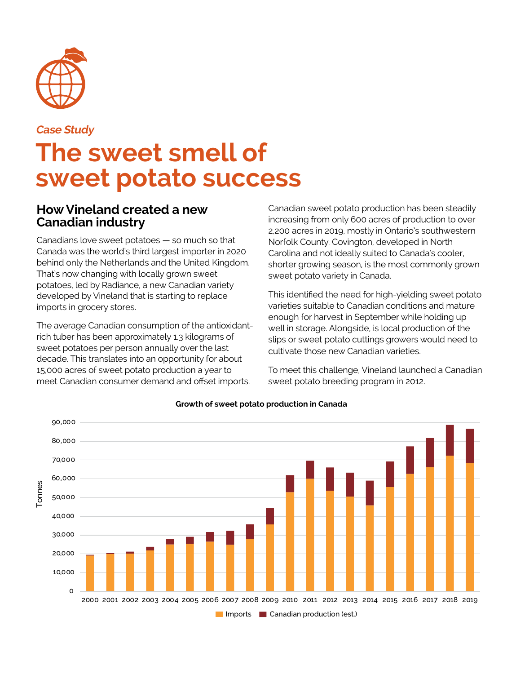

**Case Study**

# **The sweet smell of sweet potato success**

#### **How Vineland created a new Canadian industry**

Canadians love sweet potatoes — so much so that Canada was the world's third largest importer in 2020 behind only the Netherlands and the United Kingdom. That's now changing with locally grown sweet potatoes, led by Radiance, a new Canadian variety developed by Vineland that is starting to replace imports in grocery stores.

The average Canadian consumption of the antioxidantrich tuber has been approximately 1.3 kilograms of sweet potatoes per person annually over the last decade. This translates into an opportunity for about 15,000 acres of sweet potato production a year to meet Canadian consumer demand and offset imports.

Canadian sweet potato production has been steadily increasing from only 600 acres of production to over 2,200 acres in 2019, mostly in Ontario's southwestern Norfolk County. Covington, developed in North Carolina and not ideally suited to Canada's cooler, shorter growing season, is the most commonly grown sweet potato variety in Canada.

This identified the need for high-yielding sweet potato varieties suitable to Canadian conditions and mature enough for harvest in September while holding up well in storage. Alongside, is local production of the slips or sweet potato cuttings growers would need to cultivate those new Canadian varieties.

To meet this challenge, Vineland launched a Canadian sweet potato breeding program in 2012.



#### **Growth of sweet potato production in Canada**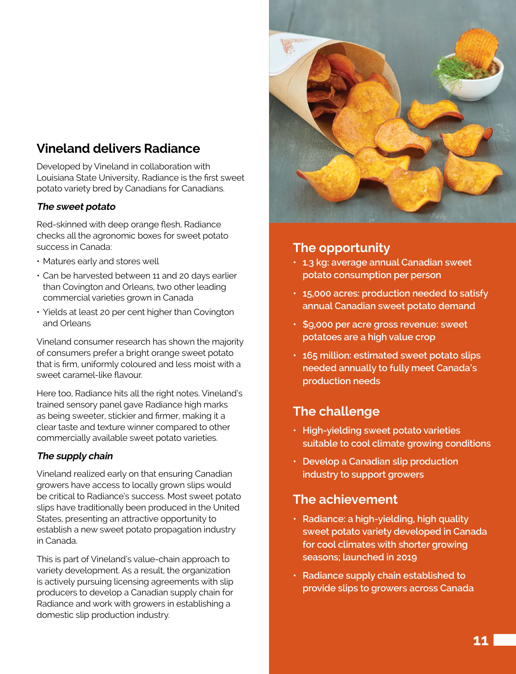# **Vineland delivers Radiance**

Developed by Vineland in collaboration with Louisiana State University, Radiance is the first sweet potato variety bred by Canadians for Canadians.

#### **The sweet potato**

Red-skinned with deep orange flesh, Radiance checks all the agronomic boxes for sweet potato success in Canada:

- Matures early and stores well
- Can be harvested between 11 and 20 days earlier than Covington and Orleans, two other leading commercial varieties grown in Canada
- Yields at least 20 per cent higher than Covington and Orleans

Vineland consumer research has shown the majority of consumers prefer a bright orange sweet potato that is firm, uniformly coloured and less moist with a sweet caramel-like flavour.

Here too, Radiance hits all the right notes. Vineland's trained sensory panel gave Radiance high marks as being sweeter, stickier and firmer, making it a clear taste and texture winner compared to other commercially available sweet potato varieties.

#### **The supply chain**

Vineland realized early on that ensuring Canadian growers have access to locally grown slips would be critical to Radiance's success. Most sweet potato slips have traditionally been produced in the United States, presenting an attractive opportunity to establish a new sweet potato propagation industry in Canada.

This is part of Vineland's value-chain approach to variety development. As a result, the organization is actively pursuing licensing agreements with slip producers to develop a Canadian supply chain for Radiance and work with growers in establishing a domestic slip production industry.



# **The opportunity**

- **1.3 kg: average annual Canadian sweet potato consumption per person**
- **• 15,000 acres: production needed to satisfy annual Canadian sweet potato demand**
- **\$**9**,000 per acre gross revenue: sweet potatoes are a high value crop**
- **165 million: estimated sweet potato slips needed annually to fully meet Canada's production needs**

# **The challenge**

- **• High-yielding sweet potato varieties suitable to cool climate growing conditions**
- **• Develop a Canadian slip production industry to support growers**

# **The achievement**

- **• Radiance: a high-yielding, high quality sweet potato variety developed in Canada for cool climates with shorter growing seasons; launched in 2019**
- **• Radiance supply chain established to provide slips to growers across Canada**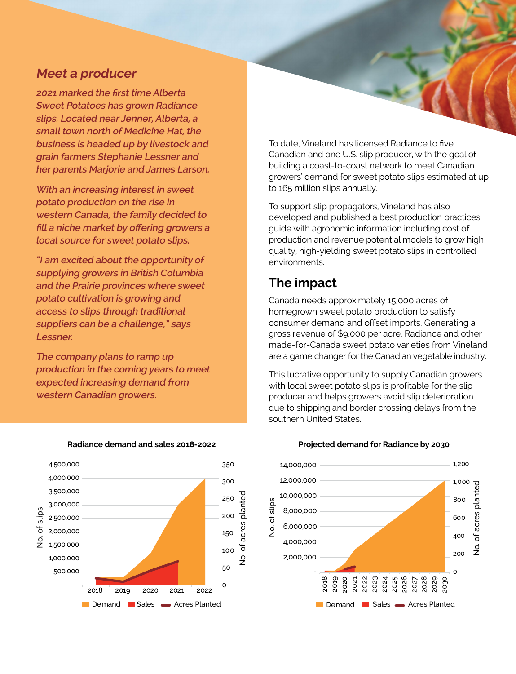#### **Meet a producer**

**2021 marked the first time Alberta Sweet Potatoes has grown Radiance slips. Located near Jenner, Alberta, a small town north of Medicine Hat, the business is headed up by livestock and grain farmers Stephanie Lessner and her parents Marjorie and James Larson.** 

**With an increasing interest in sweet potato production on the rise in western Canada, the family decided to fill a niche market by offering growers a local source for sweet potato slips.** 

**"I am excited about the opportunity of supplying growers in British Columbia and the Prairie provinces where sweet potato cultivation is growing and access to slips through traditional suppliers can be a challenge," says Lessner.**

**The company plans to ramp up production in the coming years to meet expected increasing demand from western Canadian growers.**



#### **Radiance demand and sales 2018-2022**

To date, Vineland has licensed Radiance to five Canadian and one U.S. slip producer, with the goal of building a coast-to-coast network to meet Canadian growers' demand for sweet potato slips estimated at up to 165 million slips annually.

To support slip propagators, Vineland has also developed and published a best production practices guide with agronomic information including cost of production and revenue potential models to grow high quality, high-yielding sweet potato slips in controlled environments.

## **The impact**

Canada needs approximately 15,000 acres of homegrown sweet potato production to satisfy consumer demand and offset imports. Generating a gross revenue of \$9,000 per acre, Radiance and other made-for-Canada sweet potato varieties from Vineland are a game changer for the Canadian vegetable industry.

This lucrative opportunity to supply Canadian growers with local sweet potato slips is profitable for the slip producer and helps growers avoid slip deterioration due to shipping and border crossing delays from the southern United States.



#### **Projected demand for Radiance by 2030**